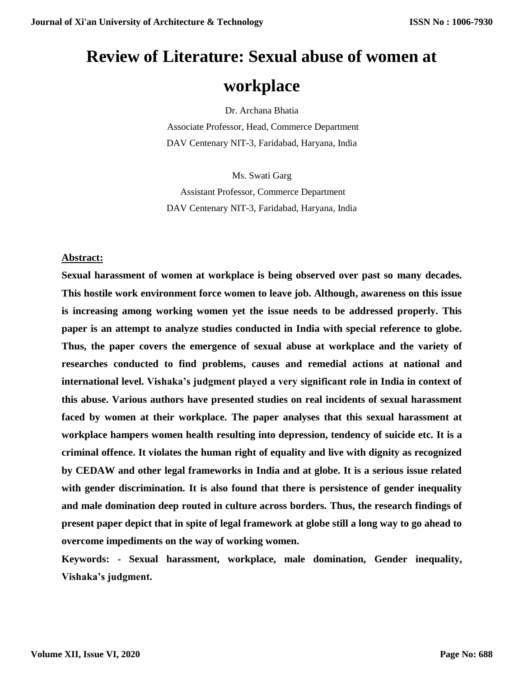# **Review of Literature: Sexual abuse of women at**

# **workplace**

Dr. Archana Bhatia

Associate Professor, Head, Commerce Department DAV Centenary NIT-3, Faridabad, Haryana, India

Ms. Swati Garg Assistant Professor, Commerce Department DAV Centenary NIT-3, Faridabad, Haryana, India

# **Abstract:**

**Sexual harassment of women at workplace is being observed over past so many decades. This hostile work environment force women to leave job. Although, awareness on this issue is increasing among working women yet the issue needs to be addressed properly. This paper is an attempt to analyze studies conducted in India with special reference to globe. Thus, the paper covers the emergence of sexual abuse at workplace and the variety of researches conducted to find problems, causes and remedial actions at national and international level. Vishaka's judgment played a very significant role in India in context of this abuse. Various authors have presented studies on real incidents of sexual harassment faced by women at their workplace. The paper analyses that this sexual harassment at workplace hampers women health resulting into depression, tendency of suicide etc. It is a criminal offence. It violates the human right of equality and live with dignity as recognized by CEDAW and other legal frameworks in India and at globe. It is a serious issue related with gender discrimination. It is also found that there is persistence of gender inequality and male domination deep routed in culture across borders. Thus, the research findings of present paper depict that in spite of legal framework at globe still a long way to go ahead to overcome impediments on the way of working women.** 

**Keywords: - Sexual harassment, workplace, male domination, Gender inequality, Vishaka's judgment.**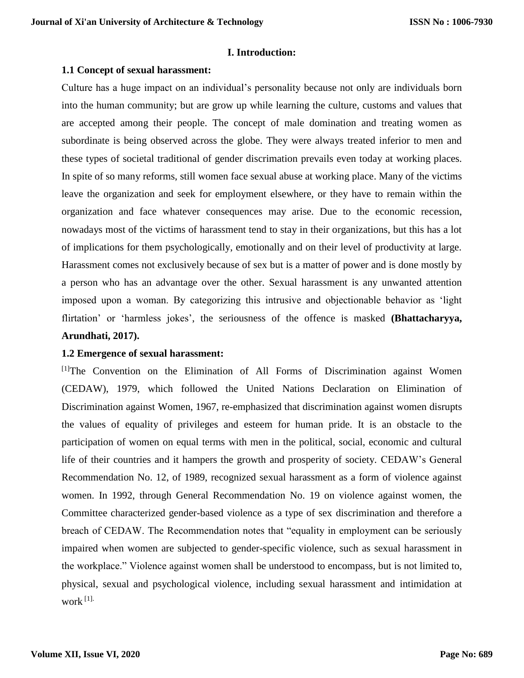### **I. Introduction:**

### **1.1 Concept of sexual harassment:**

Culture has a huge impact on an individual's personality because not only are individuals born into the human community; but are grow up while learning the culture, customs and values that are accepted among their people. The concept of male domination and treating women as subordinate is being observed across the globe. They were always treated inferior to men and these types of societal traditional of gender discrimation prevails even today at working places. In spite of so many reforms, still women face sexual abuse at working place. Many of the victims leave the organization and seek for employment elsewhere, or they have to remain within the organization and face whatever consequences may arise. Due to the economic recession, nowadays most of the victims of harassment tend to stay in their organizations, but this has a lot of implications for them psychologically, emotionally and on their level of productivity at large. Harassment comes not exclusively because of sex but is a matter of power and is done mostly by a person who has an advantage over the other. Sexual harassment is any unwanted attention imposed upon a woman. By categorizing this intrusive and objectionable behavior as 'light flirtation' or 'harmless jokes', the seriousness of the offence is masked **(Bhattacharyya, Arundhati, 2017).**

# **1.2 Emergence of sexual harassment:**

[1]The Convention on the Elimination of All Forms of Discrimination against Women (CEDAW), 1979, which followed the United Nations Declaration on Elimination of Discrimination against Women, 1967, re-emphasized that discrimination against women disrupts the values of equality of privileges and esteem for human pride. It is an obstacle to the participation of women on equal terms with men in the political, social, economic and cultural life of their countries and it hampers the growth and prosperity of society. CEDAW's General Recommendation No. 12, of 1989, recognized sexual harassment as a form of violence against women. In 1992, through General Recommendation No. 19 on violence against women, the Committee characterized gender-based violence as a type of sex discrimination and therefore a breach of CEDAW. The Recommendation notes that "equality in employment can be seriously impaired when women are subjected to gender-specific violence, such as sexual harassment in the workplace." Violence against women shall be understood to encompass, but is not limited to, physical, sexual and psychological violence, including sexual harassment and intimidation at work $^{[1]}$ .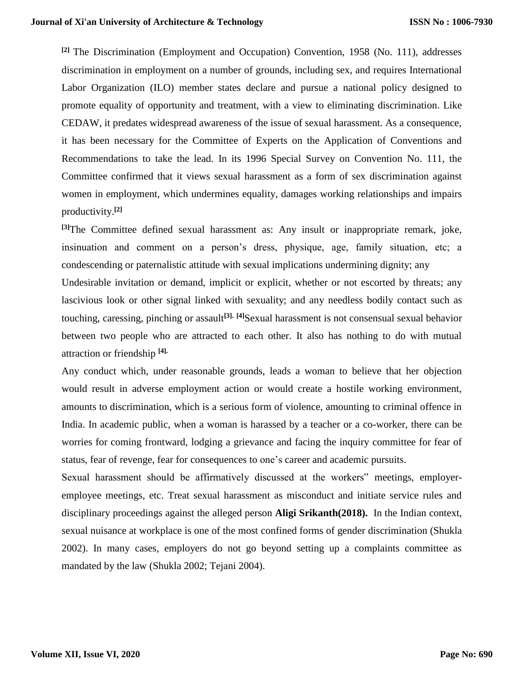**[2]** The Discrimination (Employment and Occupation) Convention, 1958 (No. 111), addresses discrimination in employment on a number of grounds, including sex, and requires International Labor Organization (ILO) member states declare and pursue a national policy designed to promote equality of opportunity and treatment, with a view to eliminating discrimination. Like CEDAW, it predates widespread awareness of the issue of sexual harassment. As a consequence, it has been necessary for the Committee of Experts on the Application of Conventions and Recommendations to take the lead. In its 1996 Special Survey on Convention No. 111, the Committee confirmed that it views sexual harassment as a form of sex discrimination against women in employment, which undermines equality, damages working relationships and impairs productivity.**[2]**

**[3]**The Committee defined sexual harassment as: Any insult or inappropriate remark, joke, insinuation and comment on a person's dress, physique, age, family situation, etc; a condescending or paternalistic attitude with sexual implications undermining dignity; any

Undesirable invitation or demand, implicit or explicit, whether or not escorted by threats; any lascivious look or other signal linked with sexuality; and any needless bodily contact such as touching, caressing, pinching or assault**[3]. [4]**Sexual harassment is not consensual sexual behavior between two people who are attracted to each other. It also has nothing to do with mutual attraction or friendship **[4].**

Any conduct which, under reasonable grounds, leads a woman to believe that her objection would result in adverse employment action or would create a hostile working environment, amounts to discrimination, which is a serious form of violence, amounting to criminal offence in India. In academic public, when a woman is harassed by a teacher or a co-worker, there can be worries for coming frontward, lodging a grievance and facing the inquiry committee for fear of status, fear of revenge, fear for consequences to one's career and academic pursuits.

Sexual harassment should be affirmatively discussed at the workers" meetings, employeremployee meetings, etc. Treat sexual harassment as misconduct and initiate service rules and disciplinary proceedings against the alleged person **Aligi Srikanth(2018).** In the Indian context, sexual nuisance at workplace is one of the most confined forms of gender discrimination (Shukla 2002). In many cases, employers do not go beyond setting up a complaints committee as mandated by the law (Shukla 2002; Tejani 2004).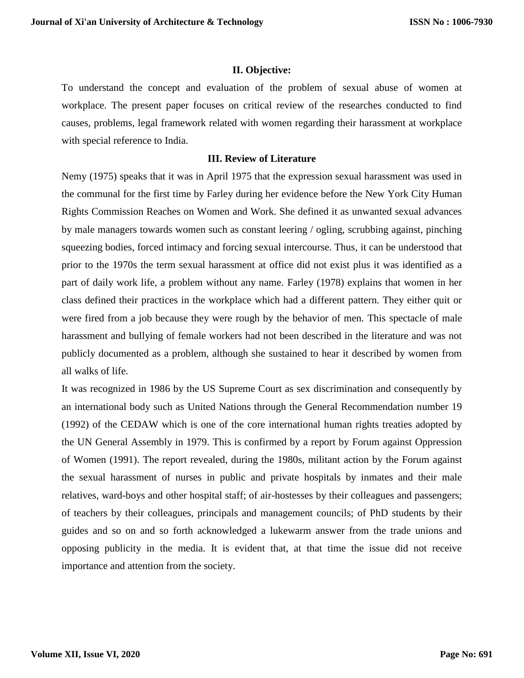## **II. Objective:**

To understand the concept and evaluation of the problem of sexual abuse of women at workplace. The present paper focuses on critical review of the researches conducted to find causes, problems, legal framework related with women regarding their harassment at workplace with special reference to India.

### **III. Review of Literature**

Nemy (1975) speaks that it was in April 1975 that the expression sexual harassment was used in the communal for the first time by Farley during her evidence before the New York City Human Rights Commission Reaches on Women and Work. She defined it as unwanted sexual advances by male managers towards women such as constant leering / ogling, scrubbing against, pinching squeezing bodies, forced intimacy and forcing sexual intercourse. Thus, it can be understood that prior to the 1970s the term sexual harassment at office did not exist plus it was identified as a part of daily work life, a problem without any name. Farley (1978) explains that women in her class defined their practices in the workplace which had a different pattern. They either quit or were fired from a job because they were rough by the behavior of men. This spectacle of male harassment and bullying of female workers had not been described in the literature and was not publicly documented as a problem, although she sustained to hear it described by women from all walks of life.

It was recognized in 1986 by the US Supreme Court as sex discrimination and consequently by an international body such as United Nations through the General Recommendation number 19 (1992) of the CEDAW which is one of the core international human rights treaties adopted by the UN General Assembly in 1979. This is confirmed by a report by Forum against Oppression of Women (1991). The report revealed, during the 1980s, militant action by the Forum against the sexual harassment of nurses in public and private hospitals by inmates and their male relatives, ward-boys and other hospital staff; of air-hostesses by their colleagues and passengers; of teachers by their colleagues, principals and management councils; of PhD students by their guides and so on and so forth acknowledged a lukewarm answer from the trade unions and opposing publicity in the media. It is evident that, at that time the issue did not receive importance and attention from the society.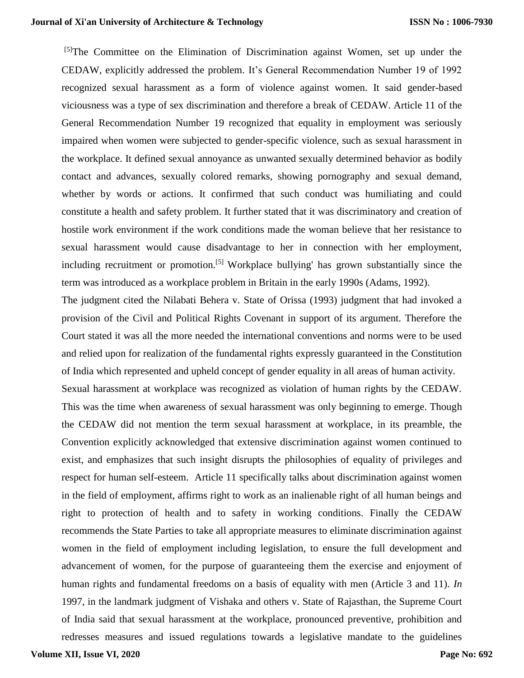### **Journal of Xi'an University of Architecture & Technology**

<sup>[5]</sup>The Committee on the Elimination of Discrimination against Women, set up under the CEDAW, explicitly addressed the problem. It's General Recommendation Number 19 of 1992 recognized sexual harassment as a form of violence against women. It said gender-based viciousness was a type of sex discrimination and therefore a break of CEDAW. Article 11 of the General Recommendation Number 19 recognized that equality in employment was seriously impaired when women were subjected to gender-specific violence, such as sexual harassment in the workplace. It defined sexual annoyance as unwanted sexually determined behavior as bodily contact and advances, sexually colored remarks, showing pornography and sexual demand, whether by words or actions. It confirmed that such conduct was humiliating and could constitute a health and safety problem. It further stated that it was discriminatory and creation of hostile work environment if the work conditions made the woman believe that her resistance to sexual harassment would cause disadvantage to her in connection with her employment, including recruitment or promotion.<sup>[5]</sup> Workplace bullying' has grown substantially since the term was introduced as a workplace problem in Britain in the early 1990s (Adams, 1992).

The judgment cited the Nilabati Behera v. State of Orissa (1993) judgment that had invoked a provision of the Civil and Political Rights Covenant in support of its argument. Therefore the Court stated it was all the more needed the international conventions and norms were to be used and relied upon for realization of the fundamental rights expressly guaranteed in the Constitution of India which represented and upheld concept of gender equality in all areas of human activity.

Sexual harassment at workplace was recognized as violation of human rights by the CEDAW. This was the time when awareness of sexual harassment was only beginning to emerge. Though the CEDAW did not mention the term sexual harassment at workplace, in its preamble, the Convention explicitly acknowledged that extensive discrimination against women continued to exist, and emphasizes that such insight disrupts the philosophies of equality of privileges and respect for human self-esteem. Article 11 specifically talks about discrimination against women in the field of employment, affirms right to work as an inalienable right of all human beings and right to protection of health and to safety in working conditions. Finally the CEDAW recommends the State Parties to take all appropriate measures to eliminate discrimination against women in the field of employment including legislation, to ensure the full development and advancement of women, for the purpose of guaranteeing them the exercise and enjoyment of human rights and fundamental freedoms on a basis of equality with men (Article 3 and 11). *In* 1997, in the landmark judgment of Vishaka and others v. State of Rajasthan, the Supreme Court of India said that sexual harassment at the workplace, pronounced preventive, prohibition and redresses measures and issued regulations towards a legislative mandate to the guidelines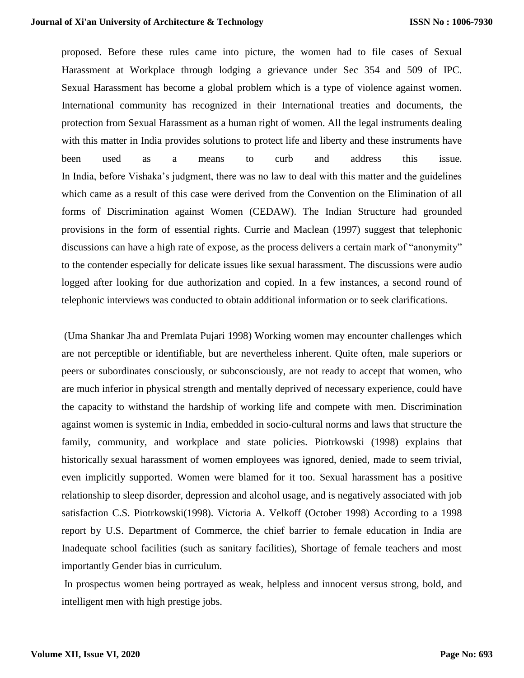proposed. Before these rules came into picture, the women had to file cases of Sexual Harassment at Workplace through lodging a grievance under Sec 354 and 509 of IPC. Sexual Harassment has become a global problem which is a type of violence against women. International community has recognized in their International treaties and documents, the protection from Sexual Harassment as a human right of women. All the legal instruments dealing with this matter in India provides solutions to protect life and liberty and these instruments have been used as a means to curb and address this issue. In India, before Vishaka's judgment, there was no law to deal with this matter and the guidelines which came as a result of this case were derived from the Convention on the Elimination of all forms of Discrimination against Women (CEDAW). The Indian Structure had grounded provisions in the form of essential rights. Currie and Maclean (1997) suggest that telephonic discussions can have a high rate of expose, as the process delivers a certain mark of "anonymity" to the contender especially for delicate issues like sexual harassment. The discussions were audio logged after looking for due authorization and copied. In a few instances, a second round of telephonic interviews was conducted to obtain additional information or to seek clarifications.

(Uma Shankar Jha and Premlata Pujari 1998) Working women may encounter challenges which are not perceptible or identifiable, but are nevertheless inherent. Quite often, male superiors or peers or subordinates consciously, or subconsciously, are not ready to accept that women, who are much inferior in physical strength and mentally deprived of necessary experience, could have the capacity to withstand the hardship of working life and compete with men. Discrimination against women is systemic in India, embedded in socio-cultural norms and laws that structure the family, community, and workplace and state policies. Piotrkowski (1998) explains that historically sexual harassment of women employees was ignored, denied, made to seem trivial, even implicitly supported. Women were blamed for it too. Sexual harassment has a positive relationship to sleep disorder, depression and alcohol usage, and is negatively associated with job satisfaction C.S. Piotrkowski(1998). Victoria A. Velkoff (October 1998) According to a 1998 report by U.S. Department of Commerce, the chief barrier to female education in India are Inadequate school facilities (such as sanitary facilities), Shortage of female teachers and most importantly Gender bias in curriculum.

In prospectus women being portrayed as weak, helpless and innocent versus strong, bold, and intelligent men with high prestige jobs.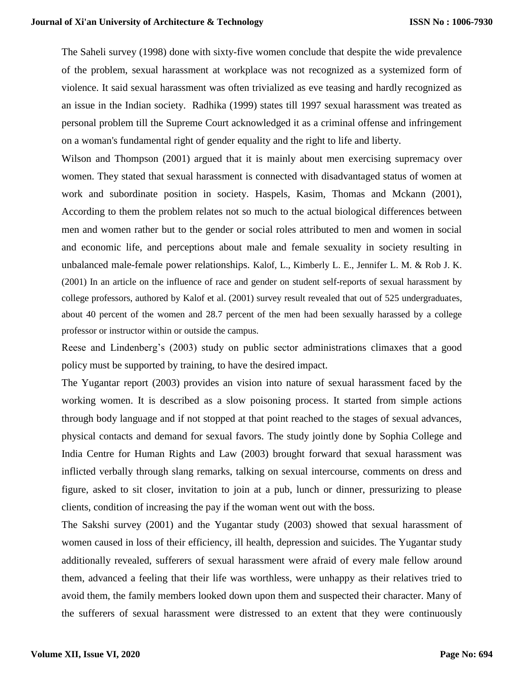The Saheli survey (1998) done with sixty-five women conclude that despite the wide prevalence of the problem, sexual harassment at workplace was not recognized as a systemized form of violence. It said sexual harassment was often trivialized as eve teasing and hardly recognized as an issue in the Indian society. Radhika (1999) states till 1997 sexual harassment was treated as personal problem till the Supreme Court acknowledged it as a criminal offense and infringement on a woman's fundamental right of gender equality and the right to life and liberty.

Wilson and Thompson (2001) argued that it is mainly about men exercising supremacy over women. They stated that sexual harassment is connected with disadvantaged status of women at work and subordinate position in society. Haspels, Kasim, Thomas and Mckann (2001), According to them the problem relates not so much to the actual biological differences between men and women rather but to the gender or social roles attributed to men and women in social and economic life, and perceptions about male and female sexuality in society resulting in unbalanced male-female power relationships. Kalof, L., Kimberly L. E., Jennifer L. M. & Rob J. K. (2001) In an article on the influence of race and gender on student self-reports of sexual harassment by college professors, authored by Kalof et al. (2001) survey result revealed that out of 525 undergraduates, about 40 percent of the women and 28.7 percent of the men had been sexually harassed by a college professor or instructor within or outside the campus.

Reese and Lindenberg's (2003) study on public sector administrations climaxes that a good policy must be supported by training, to have the desired impact.

The Yugantar report (2003) provides an vision into nature of sexual harassment faced by the working women. It is described as a slow poisoning process. It started from simple actions through body language and if not stopped at that point reached to the stages of sexual advances, physical contacts and demand for sexual favors. The study jointly done by Sophia College and India Centre for Human Rights and Law (2003) brought forward that sexual harassment was inflicted verbally through slang remarks, talking on sexual intercourse, comments on dress and figure, asked to sit closer, invitation to join at a pub, lunch or dinner, pressurizing to please clients, condition of increasing the pay if the woman went out with the boss.

The Sakshi survey (2001) and the Yugantar study (2003) showed that sexual harassment of women caused in loss of their efficiency, ill health, depression and suicides. The Yugantar study additionally revealed, sufferers of sexual harassment were afraid of every male fellow around them, advanced a feeling that their life was worthless, were unhappy as their relatives tried to avoid them, the family members looked down upon them and suspected their character. Many of the sufferers of sexual harassment were distressed to an extent that they were continuously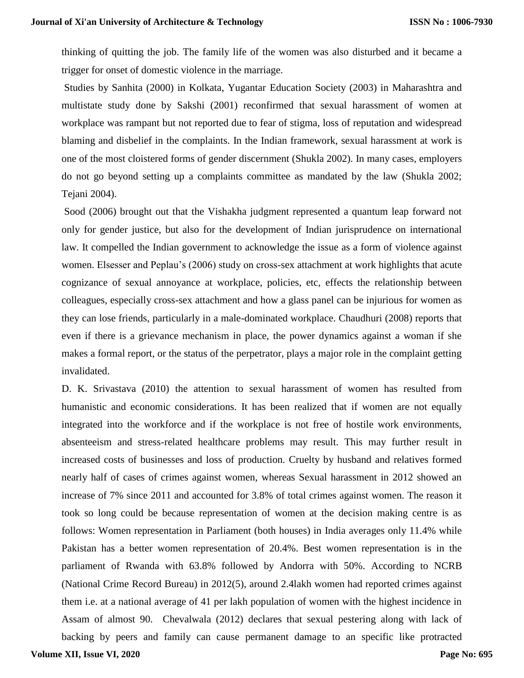thinking of quitting the job. The family life of the women was also disturbed and it became a trigger for onset of domestic violence in the marriage.

Studies by Sanhita (2000) in Kolkata, Yugantar Education Society (2003) in Maharashtra and multistate study done by Sakshi (2001) reconfirmed that sexual harassment of women at workplace was rampant but not reported due to fear of stigma, loss of reputation and widespread blaming and disbelief in the complaints. In the Indian framework, sexual harassment at work is one of the most cloistered forms of gender discernment (Shukla 2002). In many cases, employers do not go beyond setting up a complaints committee as mandated by the law (Shukla 2002; Tejani 2004).

Sood (2006) brought out that the Vishakha judgment represented a quantum leap forward not only for gender justice, but also for the development of Indian jurisprudence on international law. It compelled the Indian government to acknowledge the issue as a form of violence against women. Elsesser and Peplau's (2006) study on cross-sex attachment at work highlights that acute cognizance of sexual annoyance at workplace, policies, etc, effects the relationship between colleagues, especially cross-sex attachment and how a glass panel can be injurious for women as they can lose friends, particularly in a male-dominated workplace. Chaudhuri (2008) reports that even if there is a grievance mechanism in place, the power dynamics against a woman if she makes a formal report, or the status of the perpetrator, plays a major role in the complaint getting invalidated.

D. K. Srivastava (2010) the attention to sexual harassment of women has resulted from humanistic and economic considerations. It has been realized that if women are not equally integrated into the workforce and if the workplace is not free of hostile work environments, absenteeism and stress-related healthcare problems may result. This may further result in increased costs of businesses and loss of production. Cruelty by husband and relatives formed nearly half of cases of crimes against women, whereas Sexual harassment in 2012 showed an increase of 7% since 2011 and accounted for 3.8% of total crimes against women. The reason it took so long could be because representation of women at the decision making centre is as follows: Women representation in Parliament (both houses) in India averages only 11.4% while Pakistan has a better women representation of 20.4%. Best women representation is in the parliament of Rwanda with 63.8% followed by Andorra with 50%. According to NCRB (National Crime Record Bureau) in 2012(5), around 2.4lakh women had reported crimes against them i.e. at a national average of 41 per lakh population of women with the highest incidence in Assam of almost 90. Chevalwala (2012) declares that sexual pestering along with lack of backing by peers and family can cause permanent damage to an specific like protracted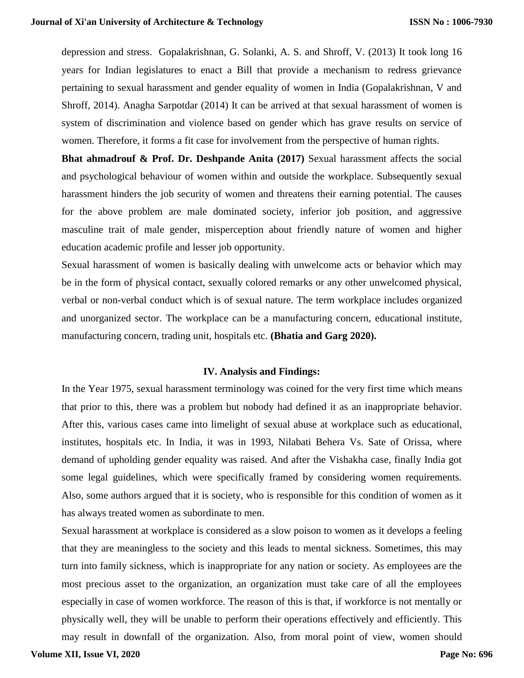depression and stress. Gopalakrishnan, G. Solanki, A. S. and Shroff, V. (2013) It took long 16 years for Indian legislatures to enact a Bill that provide a mechanism to redress grievance pertaining to sexual harassment and gender equality of women in India (Gopalakrishnan, V and Shroff, 2014). Anagha Sarpotdar (2014) It can be arrived at that sexual harassment of women is system of discrimination and violence based on gender which has grave results on service of women. Therefore, it forms a fit case for involvement from the perspective of human rights.

**Bhat ahmadrouf & Prof. Dr. Deshpande Anita (2017)** Sexual harassment affects the social and psychological behaviour of women within and outside the workplace. Subsequently sexual harassment hinders the job security of women and threatens their earning potential. The causes for the above problem are male dominated society, inferior job position, and aggressive masculine trait of male gender, misperception about friendly nature of women and higher education academic profile and lesser job opportunity.

Sexual harassment of women is basically dealing with unwelcome acts or behavior which may be in the form of physical contact, sexually colored remarks or any other unwelcomed physical, verbal or non-verbal conduct which is of sexual nature. The term workplace includes organized and unorganized sector. The workplace can be a manufacturing concern, educational institute, manufacturing concern, trading unit, hospitals etc. **(Bhatia and Garg 2020).**

#### **IV. Analysis and Findings:**

In the Year 1975, sexual harassment terminology was coined for the very first time which means that prior to this, there was a problem but nobody had defined it as an inappropriate behavior. After this, various cases came into limelight of sexual abuse at workplace such as educational, institutes, hospitals etc. In India, it was in 1993, Nilabati Behera Vs. Sate of Orissa, where demand of upholding gender equality was raised. And after the Vishakha case, finally India got some legal guidelines, which were specifically framed by considering women requirements. Also, some authors argued that it is society, who is responsible for this condition of women as it has always treated women as subordinate to men.

Sexual harassment at workplace is considered as a slow poison to women as it develops a feeling that they are meaningless to the society and this leads to mental sickness. Sometimes, this may turn into family sickness, which is inappropriate for any nation or society. As employees are the most precious asset to the organization, an organization must take care of all the employees especially in case of women workforce. The reason of this is that, if workforce is not mentally or physically well, they will be unable to perform their operations effectively and efficiently. This may result in downfall of the organization. Also, from moral point of view, women should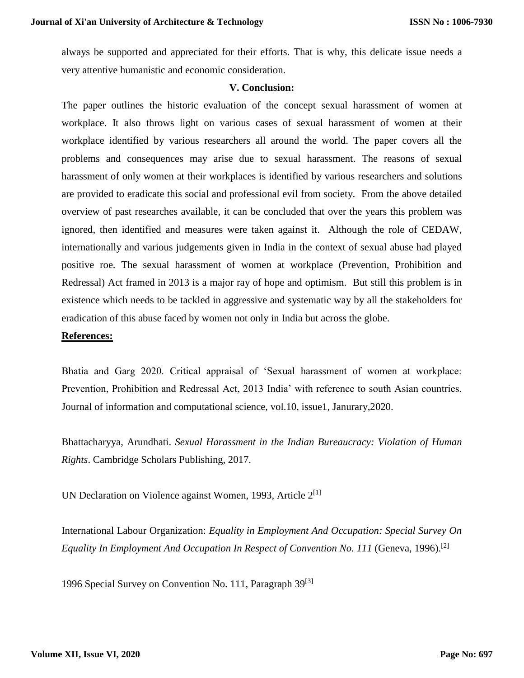always be supported and appreciated for their efforts. That is why, this delicate issue needs a very attentive humanistic and economic consideration.

#### **V. Conclusion:**

The paper outlines the historic evaluation of the concept sexual harassment of women at workplace. It also throws light on various cases of sexual harassment of women at their workplace identified by various researchers all around the world. The paper covers all the problems and consequences may arise due to sexual harassment. The reasons of sexual harassment of only women at their workplaces is identified by various researchers and solutions are provided to eradicate this social and professional evil from society. From the above detailed overview of past researches available, it can be concluded that over the years this problem was ignored, then identified and measures were taken against it. Although the role of CEDAW, internationally and various judgements given in India in the context of sexual abuse had played positive roe. The sexual harassment of women at workplace (Prevention, Prohibition and Redressal) Act framed in 2013 is a major ray of hope and optimism. But still this problem is in existence which needs to be tackled in aggressive and systematic way by all the stakeholders for eradication of this abuse faced by women not only in India but across the globe.

#### **References:**

Bhatia and Garg 2020. Critical appraisal of 'Sexual harassment of women at workplace: Prevention, Prohibition and Redressal Act, 2013 India' with reference to south Asian countries. Journal of information and computational science, vol.10, issue1, Janurary,2020.

Bhattacharyya, Arundhati. *Sexual Harassment in the Indian Bureaucracy: Violation of Human Rights*. Cambridge Scholars Publishing, 2017.

UN Declaration on Violence against Women, 1993, Article  $2^{[1]}$ 

International Labour Organization: *Equality in Employment And Occupation: Special Survey On Equality In Employment And Occupation In Respect of Convention No. 111* (Geneva, 1996).<sup>[2]</sup>

1996 Special Survey on Convention No. 111, Paragraph 39<sup>[3]</sup>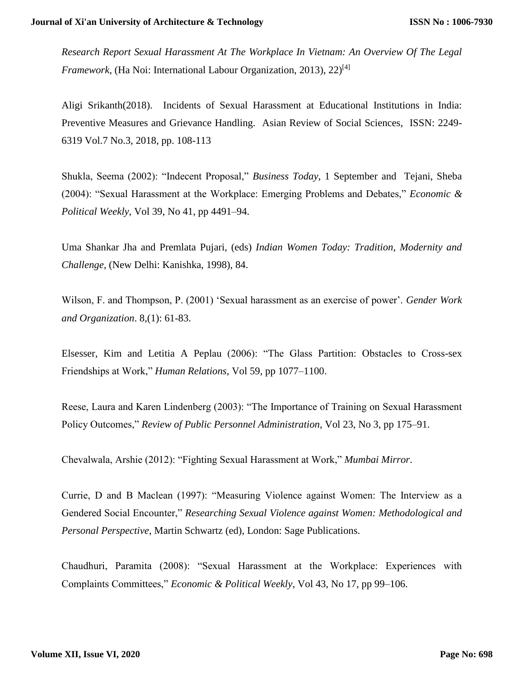*Research Report Sexual Harassment At The Workplace In Vietnam: An Overview Of The Legal Framework*, (Ha Noi: International Labour Organization, 2013), 22<sup>[4]</sup>

Aligi Srikanth(2018). Incidents of Sexual Harassment at Educational Institutions in India: Preventive Measures and Grievance Handling. Asian Review of Social Sciences, ISSN: 2249- 6319 Vol.7 No.3, 2018, pp. 108-113

Shukla, Seema (2002): "Indecent Proposal," *Business Today*, 1 September and Tejani, Sheba (2004): "Sexual Harassment at the Workplace: Emerging Problems and Debates," *Economic & Political Weekly*, Vol 39, No 41, pp 4491–94.

Uma Shankar Jha and Premlata Pujari, (eds) *Indian Women Today: Tradition, Modernity and Challenge,* (New Delhi: Kanishka, 1998), 84.

Wilson, F. and Thompson, P. (2001) 'Sexual harassment as an exercise of power'. *Gender Work and Organization*. 8,(1): 61-83.

Elsesser, Kim and Letitia A Peplau (2006): "The Glass Partition: Obstacles to Cross-sex Friendships at Work," *Human Relations*, Vol 59, pp 1077–1100.

Reese, Laura and Karen Lindenberg (2003): "The Importance of Training on Sexual Harassment Policy Outcomes," *Review of Public Personnel Administration*, Vol 23, No 3, pp 175–91.

Chevalwala, Arshie (2012): "Fighting Sexual Harassment at Work," *Mumbai Mirror*.

Currie, D and B Maclean (1997): "Measuring Violence against Women: The Interview as a Gendered Social Encounter," *Researching Sexual Violence against Women: Methodological and Personal Perspective*, Martin Schwartz (ed), London: Sage Publications.

Chaudhuri, Paramita (2008): "Sexual Harassment at the Workplace: Experiences with Complaints Committees," *Economic & Political Weekly*, Vol 43, No 17, pp 99–106.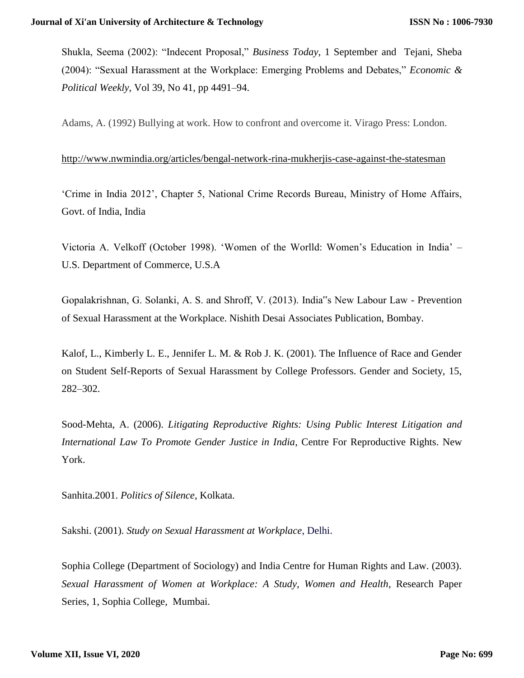Shukla, Seema (2002): "Indecent Proposal," *Business Today*, 1 September and Tejani, Sheba (2004): "Sexual Harassment at the Workplace: Emerging Problems and Debates," *Economic & Political Weekly*, Vol 39, No 41, pp 4491–94.

Adams, A. (1992) Bullying at work. How to confront and overcome it. Virago Press: London.

### <http://www.nwmindia.org/articles/bengal-network-rina-mukherjis-case-against-the-statesman>

'Crime in India 2012', Chapter 5, National Crime Records Bureau, Ministry of Home Affairs, Govt. of India, India

Victoria A. Velkoff (October 1998). 'Women of the Worlld: Women's Education in India' – U.S. Department of Commerce, U.S.A

Gopalakrishnan, G. Solanki, A. S. and Shroff, V. (2013). India"s New Labour Law - Prevention of Sexual Harassment at the Workplace. Nishith Desai Associates Publication, Bombay.

Kalof, L., Kimberly L. E., Jennifer L. M. & Rob J. K. (2001). The Influence of Race and Gender on Student Self-Reports of Sexual Harassment by College Professors. Gender and Society, 15, 282–302.

Sood-Mehta, A. (2006). *Litigating Reproductive Rights: Using Public Interest Litigation and International Law To Promote Gender Justice in India*, Centre For Reproductive Rights. New York.

Sanhita.2001. *Politics of Silence*, Kolkata.

Sakshi. (2001). *Study on Sexual Harassment at Workplace*, Delhi.

Sophia College (Department of Sociology) and India Centre for Human Rights and Law. (2003). *Sexual Harassment of Women at Workplace: A Study, Women and Health*, Research Paper Series, 1, Sophia College, Mumbai.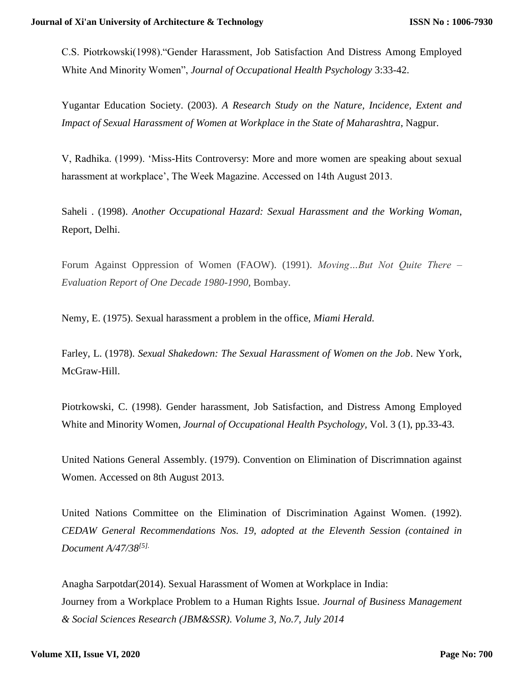C.S. Piotrkowski(1998)."Gender Harassment, Job Satisfaction And Distress Among Employed White And Minority Women", *Journal of Occupational Health Psychology* 3:33-42.

Yugantar Education Society. (2003). *A Research Study on the Nature, Incidence, Extent and Impact of Sexual Harassment of Women at Workplace in the State of Maharashtra*, Nagpur.

V, Radhika. (1999). 'Miss-Hits Controversy: More and more women are speaking about sexual harassment at workplace', The Week Magazine. Accessed on 14th August 2013.

Saheli . (1998). *Another Occupational Hazard: Sexual Harassment and the Working Woman*, Report, Delhi.

Forum Against Oppression of Women (FAOW). (1991). *Moving…But Not Quite There – Evaluation Report of One Decade 1980-1990*, Bombay.

Nemy, E. (1975). Sexual harassment a problem in the office, *Miami Herald.*

Farley, L. (1978). *Sexual Shakedown: The Sexual Harassment of Women on the Job*. New York, McGraw-Hill.

Piotrkowski, C. (1998). Gender harassment, Job Satisfaction, and Distress Among Employed White and Minority Women, *Journal of Occupational Health Psychology,* Vol. 3 (1), pp.33-43.

United Nations General Assembly. (1979). Convention on Elimination of Discrimnation against Women. Accessed on 8th August 2013.

United Nations Committee on the Elimination of Discrimination Against Women. (1992). *CEDAW General Recommendations Nos. 19, adopted at the Eleventh Session (contained in Document A/47/38[5].*

Anagha Sarpotdar(2014). Sexual Harassment of Women at Workplace in India: Journey from a Workplace Problem to a Human Rights Issue. *Journal of Business Management & Social Sciences Research (JBM&SSR). Volume 3, No.7, July 2014*